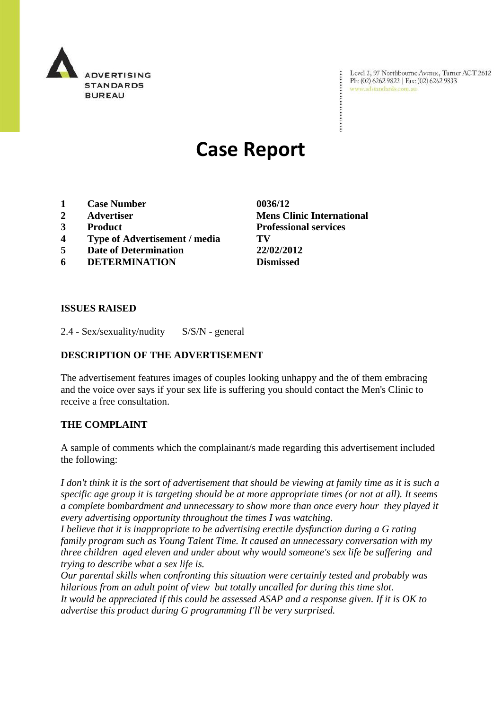

Level 2, 97 Northbourne Avenue, Turner ACT 2612 Ph: (02) 6262 9822 | Fax: (02) 6262 9833 www.adstandards.com.au

# **Case Report**

- **1 Case Number 0036/12**
- 
- 
- **4 Type of Advertisement / media TV**
- **5 Date of Determination 22/02/2012**
- **6 DETERMINATION Dismissed**

**2 Advertiser Mens Clinic International 3 Product Professional services**

 $\ddot{\cdot}$ 

### **ISSUES RAISED**

2.4 - Sex/sexuality/nudity S/S/N - general

### **DESCRIPTION OF THE ADVERTISEMENT**

The advertisement features images of couples looking unhappy and the of them embracing and the voice over says if your sex life is suffering you should contact the Men's Clinic to receive a free consultation.

### **THE COMPLAINT**

A sample of comments which the complainant/s made regarding this advertisement included the following:

*I don't think it is the sort of advertisement that should be viewing at family time as it is such a specific age group it is targeting should be at more appropriate times (or not at all). It seems a complete bombardment and unnecessary to show more than once every hour they played it every advertising opportunity throughout the times I was watching.*

*I believe that it is inappropriate to be advertising erectile dysfunction during a G rating family program such as Young Talent Time. It caused an unnecessary conversation with my three children aged eleven and under about why would someone's sex life be suffering and trying to describe what a sex life is.*

*Our parental skills when confronting this situation were certainly tested and probably was hilarious from an adult point of view but totally uncalled for during this time slot. It would be appreciated if this could be assessed ASAP and a response given. If it is OK to advertise this product during G programming I'll be very surprised.*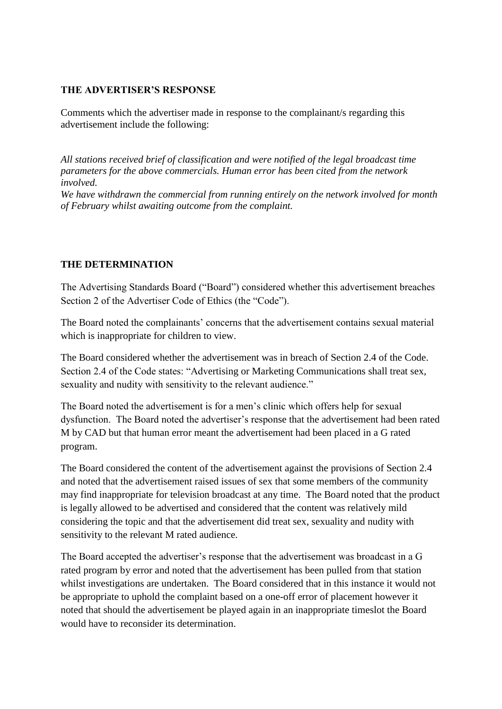### **THE ADVERTISER'S RESPONSE**

Comments which the advertiser made in response to the complainant/s regarding this advertisement include the following:

*All stations received brief of classification and were notified of the legal broadcast time parameters for the above commercials. Human error has been cited from the network involved.*

*We have withdrawn the commercial from running entirely on the network involved for month of February whilst awaiting outcome from the complaint.*

## **THE DETERMINATION**

The Advertising Standards Board ("Board") considered whether this advertisement breaches Section 2 of the Advertiser Code of Ethics (the "Code").

The Board noted the complainants' concerns that the advertisement contains sexual material which is inappropriate for children to view.

The Board considered whether the advertisement was in breach of Section 2.4 of the Code. Section 2.4 of the Code states: "Advertising or Marketing Communications shall treat sex, sexuality and nudity with sensitivity to the relevant audience."

The Board noted the advertisement is for a men's clinic which offers help for sexual dysfunction. The Board noted the advertiser's response that the advertisement had been rated M by CAD but that human error meant the advertisement had been placed in a G rated program.

The Board considered the content of the advertisement against the provisions of Section 2.4 and noted that the advertisement raised issues of sex that some members of the community may find inappropriate for television broadcast at any time. The Board noted that the product is legally allowed to be advertised and considered that the content was relatively mild considering the topic and that the advertisement did treat sex, sexuality and nudity with sensitivity to the relevant M rated audience.

The Board accepted the advertiser's response that the advertisement was broadcast in a G rated program by error and noted that the advertisement has been pulled from that station whilst investigations are undertaken. The Board considered that in this instance it would not be appropriate to uphold the complaint based on a one-off error of placement however it noted that should the advertisement be played again in an inappropriate timeslot the Board would have to reconsider its determination.